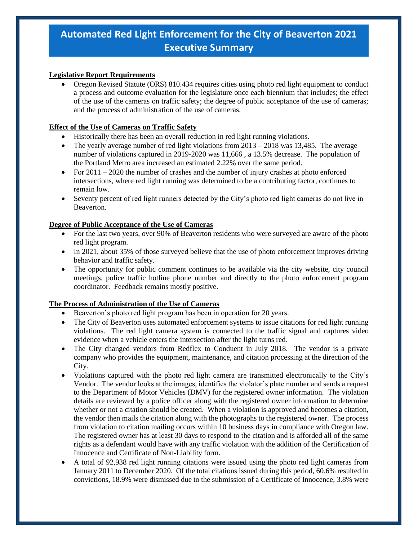# **Automated Red Light Enforcement for the City of Beaverton 2021 Executive Summary**

## **Legislative Report Requirements**

• Oregon Revised Statute (ORS) 810.434 requires cities using photo red light equipment to conduct a process and outcome evaluation for the legislature once each biennium that includes; the effect of the use of the cameras on traffic safety; the degree of public acceptance of the use of cameras; and the process of administration of the use of cameras.

### **Effect of the Use of Cameras on Traffic Safety**

- Historically there has been an overall reduction in red light running violations.
- The yearly average number of red light violations from  $2013 2018$  was 13,485. The average number of violations captured in 2019-2020 was 11,666 , a 13.5% decrease. The population of the Portland Metro area increased an estimated 2.22% over the same period.
- For  $2011 2020$  the number of crashes and the number of injury crashes at photo enforced intersections, where red light running was determined to be a contributing factor, continues to remain low.
- Seventy percent of red light runners detected by the City's photo red light cameras do not live in Beaverton.

### **Degree of Public Acceptance of the Use of Cameras**

- For the last two years, over 90% of Beaverton residents who were surveyed are aware of the photo red light program.
- In 2021, about 35% of those surveyed believe that the use of photo enforcement improves driving behavior and traffic safety.
- The opportunity for public comment continues to be available via the city website, city council meetings, police traffic hotline phone number and directly to the photo enforcement program coordinator. Feedback remains mostly positive.

### **The Process of Administration of the Use of Cameras**

- Beaverton's photo red light program has been in operation for 20 years.
- The City of Beaverton uses automated enforcement systems to issue citations for red light running violations. The red light camera system is connected to the traffic signal and captures video evidence when a vehicle enters the intersection after the light turns red.
- The City changed vendors from Redflex to Conduent in July 2018. The vendor is a private company who provides the equipment, maintenance, and citation processing at the direction of the City.
- Violations captured with the photo red light camera are transmitted electronically to the City's Vendor. The vendor looks at the images, identifies the violator's plate number and sends a request to the Department of Motor Vehicles (DMV) for the registered owner information. The violation details are reviewed by a police officer along with the registered owner information to determine whether or not a citation should be created. When a violation is approved and becomes a citation, the vendor then mails the citation along with the photographs to the registered owner. The process from violation to citation mailing occurs within 10 business days in compliance with Oregon law. The registered owner has at least 30 days to respond to the citation and is afforded all of the same rights as a defendant would have with any traffic violation with the addition of the Certification of Innocence and Certificate of Non-Liability form.
- A total of 92,938 red light running citations were issued using the photo red light cameras from January 2011 to December 2020. Of the total citations issued during this period, 60.6% resulted in convictions, 18.9% were dismissed due to the submission of a Certificate of Innocence, 3.8% were